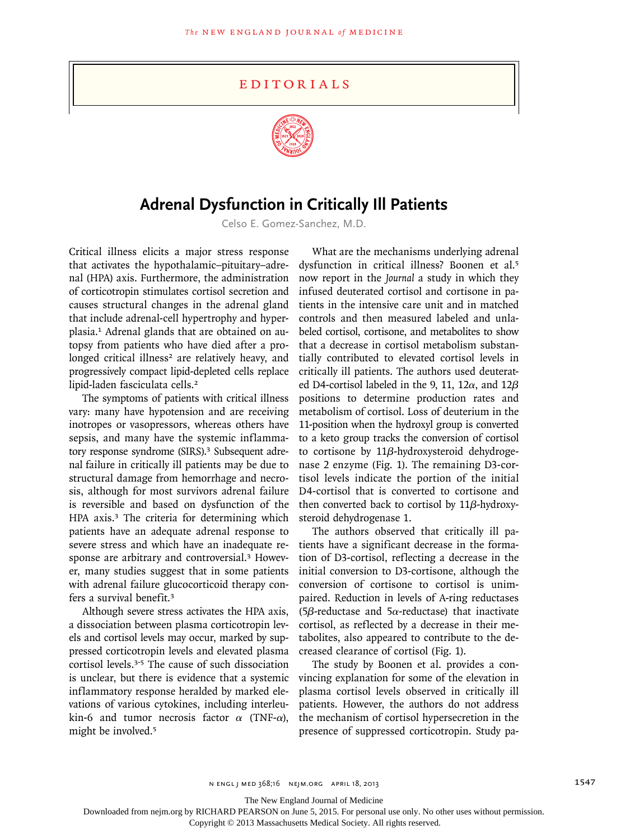## **EDITORIALS**



## **Adrenal Dysfunction in Critically Ill Patients**

Celso E. Gomez-Sanchez, M.D.

Critical illness elicits a major stress response that activates the hypothalamic–pituitary–adrenal (HPA) axis. Furthermore, the administration of corticotropin stimulates cortisol secretion and causes structural changes in the adrenal gland that include adrenal-cell hypertrophy and hyperplasia.1 Adrenal glands that are obtained on autopsy from patients who have died after a prolonged critical illness<sup>2</sup> are relatively heavy, and progressively compact lipid-depleted cells replace lipid-laden fasciculata cells.<sup>2</sup>

The symptoms of patients with critical illness vary: many have hypotension and are receiving inotropes or vasopressors, whereas others have sepsis, and many have the systemic inflammatory response syndrome (SIRS).<sup>3</sup> Subsequent adrenal failure in critically ill patients may be due to structural damage from hemorrhage and necrosis, although for most survivors adrenal failure is reversible and based on dysfunction of the HPA axis.<sup>3</sup> The criteria for determining which patients have an adequate adrenal response to severe stress and which have an inadequate response are arbitrary and controversial.3 However, many studies suggest that in some patients with adrenal failure glucocorticoid therapy confers a survival benefit.<sup>3</sup>

Although severe stress activates the HPA axis, a dissociation between plasma corticotropin levels and cortisol levels may occur, marked by suppressed corticotropin levels and elevated plasma cortisol levels.3-5 The cause of such dissociation is unclear, but there is evidence that a systemic inflammatory response heralded by marked elevations of various cytokines, including interleukin-6 and tumor necrosis factor  $\alpha$  (TNF- $\alpha$ ), might be involved.<sup>5</sup>

What are the mechanisms underlying adrenal dysfunction in critical illness? Boonen et al.<sup>5</sup> now report in the *Journal* a study in which they infused deuterated cortisol and cortisone in patients in the intensive care unit and in matched controls and then measured labeled and unlabeled cortisol, cortisone, and metabolites to show that a decrease in cortisol metabolism substantially contributed to elevated cortisol levels in critically ill patients. The authors used deuterated D4-cortisol labeled in the 9, 11, 12 $\alpha$ , and 12 $\beta$ positions to determine production rates and metabolism of cortisol. Loss of deuterium in the 11-position when the hydroxyl group is converted to a keto group tracks the conversion of cortisol to cortisone by 11β-hydroxysteroid dehydrogenase 2 enzyme (Fig. 1). The remaining D3-cortisol levels indicate the portion of the initial D4-cortisol that is converted to cortisone and then converted back to cortisol by 11β-hydroxysteroid dehydrogenase 1.

The authors observed that critically ill patients have a significant decrease in the formation of D3-cortisol, reflecting a decrease in the initial conversion to D3-cortisone, although the conversion of cortisone to cortisol is unimpaired. Reduction in levels of A-ring reductases (5 $\beta$ -reductase and 5 $\alpha$ -reductase) that inactivate cortisol, as reflected by a decrease in their metabolites, also appeared to contribute to the decreased clearance of cortisol (Fig. 1).

The study by Boonen et al. provides a convincing explanation for some of the elevation in plasma cortisol levels observed in critically ill patients. However, the authors do not address the mechanism of cortisol hypersecretion in the presence of suppressed corticotropin. Study pa-

n engl j med 368;16 nejm.org april 18, 2013 1547

The New England Journal of Medicine

Downloaded from nejm.org by RICHARD PEARSON on June 5, 2015. For personal use only. No other uses without permission.

Copyright © 2013 Massachusetts Medical Society. All rights reserved.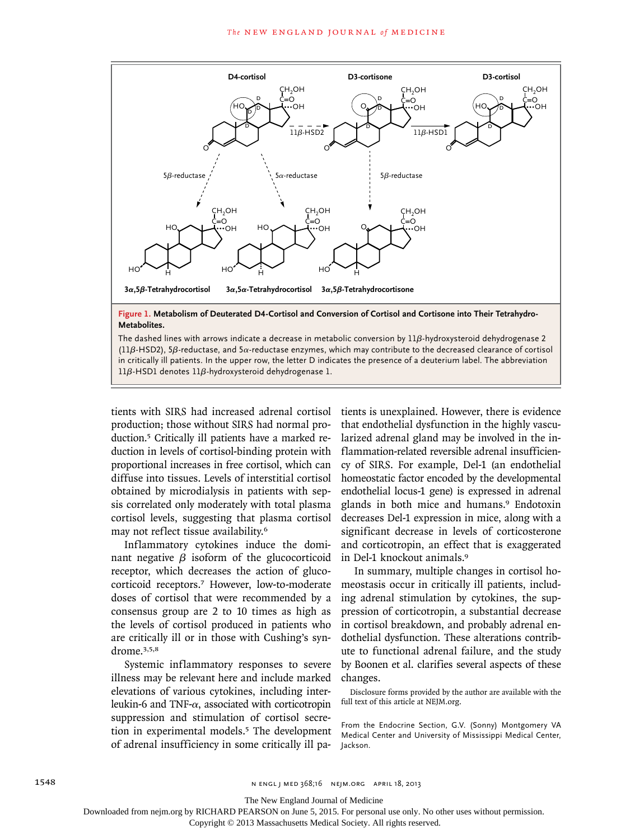

tients with SIRS had increased adrenal cortisol production; those without SIRS had normal production.5 Critically ill patients have a marked reduction in levels of cortisol-binding protein with proportional increases in free cortisol, which can diffuse into tissues. Levels of interstitial cortisol obtained by microdialysis in patients with sepsis correlated only moderately with total plasma cortisol levels, suggesting that plasma cortisol may not reflect tissue availability.<sup>6</sup>

Inflammatory cytokines induce the dominant negative  $β$  isoform of the glucocorticoid receptor, which decreases the action of glucocorticoid receptors.7 However, low-to-moderate doses of cortisol that were recommended by a consensus group are 2 to 10 times as high as the levels of cortisol produced in patients who are critically ill or in those with Cushing's syndrome.3,5,8

Systemic inflammatory responses to severe illness may be relevant here and include marked elevations of various cytokines, including interleukin-6 and TNF- $\alpha$ , associated with corticotropin suppression and stimulation of cortisol secretion in experimental models.<sup>5</sup> The development of adrenal insufficiency in some critically ill patients is unexplained. However, there is evidence that endothelial dysfunction in the highly vascularized adrenal gland may be involved in the inflammation-related reversible adrenal insufficiency of SIRS. For example, Del-1 (an endothelial homeostatic factor encoded by the developmental endothelial locus-1 gene) is expressed in adrenal glands in both mice and humans.<sup>9</sup> Endotoxin decreases Del-1 expression in mice, along with a significant decrease in levels of corticosterone and corticotropin, an effect that is exaggerated in Del-1 knockout animals.<sup>9</sup>

In summary, multiple changes in cortisol homeostasis occur in critically ill patients, including adrenal stimulation by cytokines, the suppression of corticotropin, a substantial decrease in cortisol breakdown, and probably adrenal endothelial dysfunction. These alterations contribute to functional adrenal failure, and the study by Boonen et al. clarifies several aspects of these changes.

Disclosure forms provided by the author are available with the full text of this article at NEJM.org.

From the Endocrine Section, G.V. (Sonny) Montgomery VA Medical Center and University of Mississippi Medical Center, Jackson.

The New England Journal of Medicine

Downloaded from nejm.org by RICHARD PEARSON on June 5, 2015. For personal use only. No other uses without permission.

Copyright © 2013 Massachusetts Medical Society. All rights reserved.